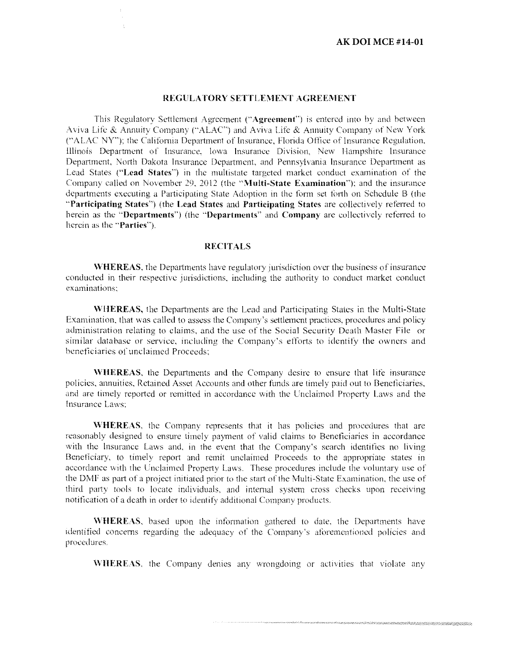#### REGULATORY SETTLEMENT AGREEMENT

This Regulatory Settlement Agreement ("Agreement") is entered into by and between Aviva Life & Annuity Company ("ALAC") and Aviva Life & Annuity Company of New York ("ALAC NY"); the California Department of Insurance. Florida Office of Insurance Regulation. Illinois Department of Insurance, Iowa Insurance Division, New Hampshire Insurance Department, North Dakota Insurance Department, and Pennsylvania Insurance Department as Lead States ("Lead States") in the multistate targeted market conduct examination of the Company called on November 29, 2012 (the "Multi-State Examination"); and the insurance departments executing a Participating State Adoption in the form set forth on Schedule B (the "Participating States") (the Lead States and Participating States are collectively referred to herein as the "Departments") (the "Departments" and Company are collectively referred to herein as the "Parties").

#### **RECITALS**

\VHEREAS, the Departments have regulatory jurisdiction over the business of insurance conducted in their respective jurisdictions. including the authority to conduct market conduct cxarninations:

WHEREAS, the Departments are the Lead and Participating States in the Multi-State Examination, that was called to assess the Company's settlement practices, procedures and policy administration relating to daims. and the use of the Social Security Death Master File or similar database or service, including the Company's efforts to identify the owners and beneficiaries of unclaimed Proceeds;

WHEREAS, the Departments and the Company desire to ensure that life insurance policies. annuities. Retained Asset Accounts and other funds are timely paid out to Beneficiaries, and are timely reported or remitted in accordance with the Unclaimed Property Laws and the Insurance Laws:

'WHEREAS. the Company represents that it has policies and procedures that arc reasonably designed to ensure timely payment of valid claims to Beneficiaries in accordance with the Insurance Laws and, in the event that the Company's search identifies no living Bcncticiary. to timely report and remit unclaimed Proceeds to the appropriate states in accordance with the Unclaimed Property Laws. These procedures include the voluntary use of the DMF as part of a project imtiatcd prior to the start of the Multi-State Examination, the use of third party tools to locate individuals, and internal system cross checks upon receiving notification of a death in order to identify additional Company products,

WHEREAS. hased upon the information gathered to date. the Departments have identified concerns regarding the adequacy of the Company's aforementioned policies and procedures.

WHEREAS, the Company denies any wrongdoing or activities that violate any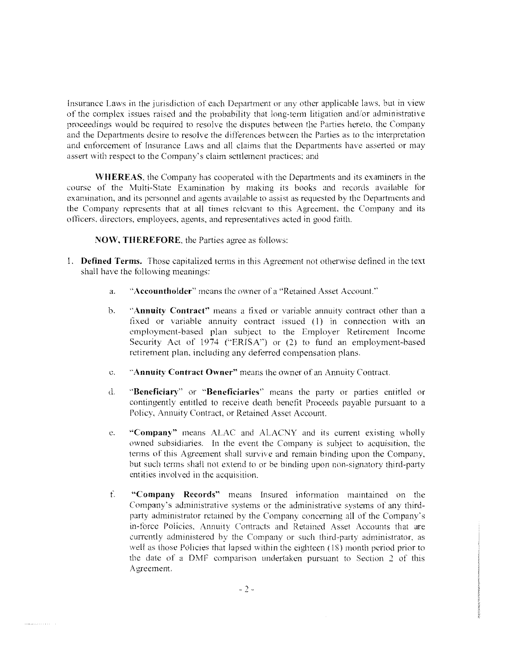Insurance Laws in the jurisdiction of each Department or any other applicable laws. bul in view of the complex issues raised and the probability that long-term litigation and/or administrative proceedings would be required to resolve the disputes between the Parties hereto. the Company and the Departments desire to resolve the differences between the Parties as to the interpretation and enforcement of Insurance Laws and all claims that the Departments have asserted or may assert with respect to the Company's daim settlement practices; and

WHEREAS. the Company has cooperated with the Departments and its examiners in the course of the Multi-State Examination by making its books and records available for examination. and its personnel and agents available to assist as requested by the Departments and the Company represents that at all times relevant to this Agreement. the Company and its officers, directors. ernployecs, agents, and representatives acted in good faith.

NOW, THEREFORE, the Parties agree as follows:

- I. Defined Terms. Those capitalized tenns in this Agreement not otherwise defined in the text shall have the following meanings:
	- a. "Accountholder" means the owner of a "Retained Asset Account."
	- b. "Annuity Contract" means a fixed or variable annuity contract other than a fixed or variable annuity contract issued (1) in connection with an employment-based plan subject to the Employer Retirement Income Security Act of 1974 ("ERISA") or (2) to fund an employment-based retirement plan, including any deferred compensation plans.
	- c. "Annuity Contract Owner" means the owner of an Annuity Contract.
	- d. ·'Beneficiary'' or "Beneficiaries" means the party or parties entitled or contingently entitled to receive death benefit Proceeds payahle pursuant to a Policy. Annuity Contract. or Retained Asset Account
	- e. "Company" means ALAC and ALACNY and its current existing wholly owned subsidiaries. In the event the Company is subject to acquisition. the tenns of this Agreement shall survive and remain binding upon the Company. but such terms shall not extend to or be binding upon non-signatory third-party entities involved in the acquisition.
	- f. "Company Records" means Insured information maintained on the Company's administrative systems or the administrative systems of any thirdparty administrator retained by the Company concerning all of the Company's in-force Policies. Annuity Contracts and Retained Asset Accounts that are currently administered by the Company or such third-party administrator, as well as those Policies that lapsed within the eighteen (18) month period prior to the date of a DMF comparison undertaken pursuant to Section *2* of this Agreement.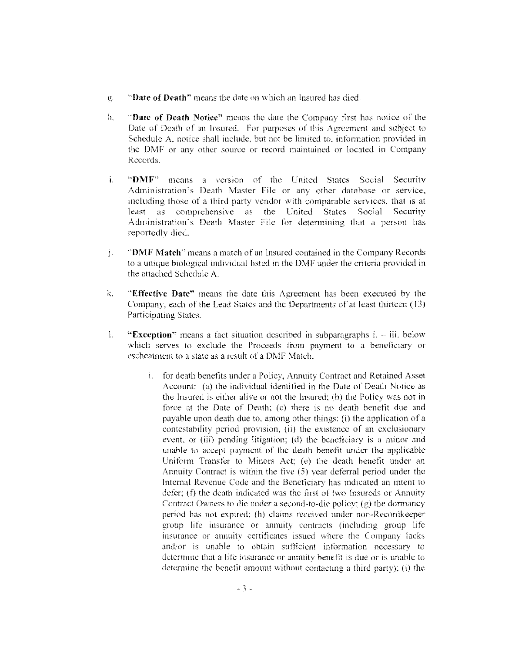- p:. ''Date of Death" means the date on which an Insured has died.
- h. "Date of Death Notice" means the date the Company first has notice of the Date of Death of an Insured. For purposes of this Agreement and suhicct to Schedule A, notice shall include, but not be limited to, information provided in the DMF or any other source or record maintained or located in Company Records.
- i. "DMF" means a version of the United States Social Security Administration's Death Master File or any other database or service. including those of a third party vendor with comparable services. that is at least as comprehensive as the United States Social Security Administration's Death Master File for determining that a person has reportedly died.
- j. "DMF Match" means a match of an Insured contained in the Company Records lo a unique biological individual listed in the DMF under the criteria provided in the attached Schedule A.
- k. "Effective Oatc" means the date this Agreement has been executed by the Company. each of the Lead States and the Departments of at least thirteen ( 13) Participating States.
- l. **"Exception"** means a fact situation described in subparagraphs i. iii. below which serves to exclude the Proceeds from payment to a beneficiary or escheatment to a state as a result of a DMF Match:
	- 1. for death benefits under a Policy. Annuity Contract and Retained Asset Account: (a) the individual identified in the Date of Death Notice as the Insured is either alive or not the Insured: (h) the Policy was not in force at the Date of Death; (c) there is no death benefit due and payable upon death due to, among other things: (i) the application of a contestability period provision, (ii) the existence of an exclusionary event. or (iii) pending litigation: (d) the beneficiary is a minor and unable to accept payment of the death benefit under the applicable Uniform Transfer to Minors Act; (e) the death benefit under an Annuity Contract is within the five (5) year deferral period under the Internal Revenue Code and the Beneficiary has indicated an intent to defer: (f) the death indicated was the first of two Insureds or Annuity Contract Owners to die under a second-to-die policy; (g) the dormancy period has not expired: (h) claims received under non-Recordkeeper group life insurance or annuity contracts (including group life insurance or annuity certificates issued where the Company lacks and/or is unable to obtain sufficient information necessary to determine that a life insurance or annuity benefit is due or is unable to determine the benefit amount without contacting a third party); (i) the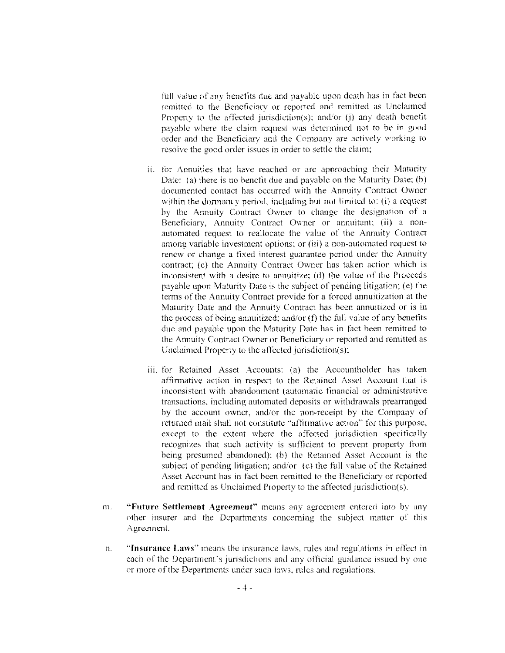full value of any benefits due and payable upon death has in fact been remitted to the Beneficiary or reported and remitted as Unclaimed Property to the affected jurisdiction(s): and/or (j) any death benefit payable where the claim request was dctennined not to be in good order and the Beneficiary and the Company are actively working to resolve the good order issues in order to settle the claim;

- ii. for Annuities that have reached or are approaching their Maturity Date: (a) there is no benefit due and payable on the Maturity Date; (b) documented contact has occurred with the Annuity Contract Owner within the dormancy period, including but not limited to: (i) a request by the Annuity Contract Owner to change the designation of a Beneficiary, Annuity Contract Owner or annuitant: (ii) a nonautomated request to reallocate the value of the Annuity Contract among variable investment options: or (iii) a non-automated request to renew or change a fixed interest guarantee period under the Annuity contract; (c) the Annuity Contract Owner has taken action which is inconsistent with a desire to annuitize; (d) the value of the Proceeds payable upon Maturity Date is the subject of pending litigation; (e) the terms of the Annuity Contract provide for a forced annuitization at the Maturity Date and the Annuity Contract has been annuitized or is in the process of being annuitized; and/or  $(f)$  the full value of any benefits due and payable upon the Maturity Date has in fact been remitted to the Annuity Contract Owner or Beneficiary or reported and remitted as Unclaimed Property to the affected jurisdiction(s):
- iii. for Retained Asset Accounts: (a) the Accountholder has taken affirmative action in respect to the Retained Asset Account that is inconsistent with abandonment (automatic financial or administrative transactions, including automated deposits or withdrawals prearranged by the account owner, and/or the non-receipt by the Company of returned mail shall not constitute "affirmative action" for this purpose, except to the extent where the affected jurisdiction specifically recognizes that such activity is sufficient to prevent property from being presumed abandoned): (b) the Retained Asset Account is the subject of pending litigation; and/or  $(c)$  the full value of the Retained Asset Account has in fact been remitted to the Beneficiary or reported and remitted as Unclaimed Property to the affected jurisdiction(s).
- 1111. "**Future Settlement Agreement**" means any agreement entered into by any other insurer and the Departments concerning the subject matter of this Agreement.
- n. **"Insurance Laws"** means the insurance laws. rules and regulations in effoct in each of the Department's jurisdictions and any official guidance issued by one or more of the Departments under such laws, rules and regulations.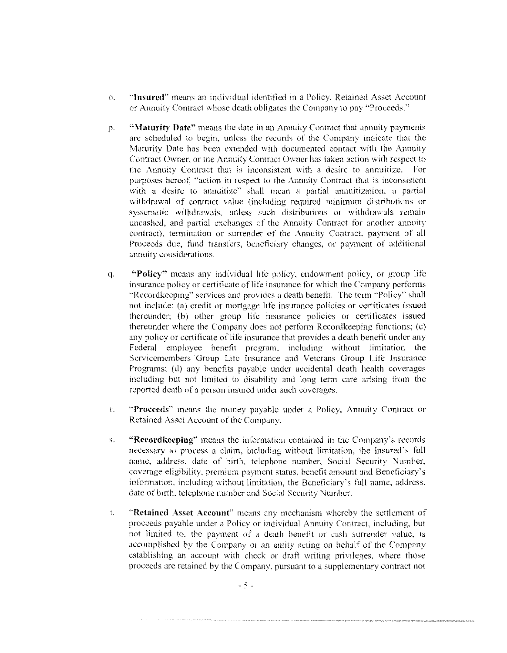- o. **"Insured"** means an individual identified in a Policy, Retained Asset Account or Annuity Contract whose death obligates the Company to pay "Proceeds."
- p. **''Maturity Date"** means the date in an Annuity Contract that annuity payments are scheduled to begin, unless the records of the Company indicate that the Maturity Date has been extended with documented contact with the Annnity Contract Owner. or the Annuity Contract Owner has taken action with respect to the Annuity Contract that is inconsistent with a desire to annuitizc. For purposes hereof, "action in respect to the Annuity Contract that is inconsistent with a desire to annuitize" shall mean a partial annuitization, a partial withdrawal of contract vaiue (including required minimum distributions or systematic withdrawals, unless such distributions or withdrawals remain uncashcd, and partial exchanges of the Annuity Contract for another annuity contract), termination or surrender of the Annuity Contract, payment of all Proceeds due, fund transfers, beneficiary changes, or payment of additional **annuity considerations.**
- q. **"Policy''** means any individual lite policy. endowment policy, or group lite insurance policy or certificate of life insurance for which the Company performs "Recordkeeping" services and provides a death benefit. The term "Policy" shall not include: (a) credit or mortgage life insurance policies or certificates issued thereunder: (b) other group life insurance policies or cenificates issued thereunder where the Company does not perform Recordkeeping functions; (c) any policy or certificate of life insurance that provides a death benefit under any Federal employee benefit program. including without limitation the Servicemembers Group Life Insurance and Veterans Group Life Insurance Programs; (d) any benefits payable under accidental death health coverages including but not limited to disability and long term care arising from the reported death of a person insured under such coverages.
- r. **"Proceeds"** means the money payable under a Policy. Annuity Contract or Retained Asset Account of the Company.
- s. **"Recordkceping"** means the infonnation contained in the Company's records necessary to process a claim, including without limitation, the Insured's full name, address, date of birth, telephone number, Social Security Number, coverage eligibility, premium payment status. benefit amount and Beneficiary's information, including without limitation, the Beneficiary's full name, address, date of birth, telephone number and Social Security Number.
- t. **"Retained Asset Account"** means any mechanism whereby the settlement of proceeds payable under a Policy or individual Annuity Contract, including, but not limited to. the payment of a death benefit or cash surrender value, is accomplished by the Company or an entity acting on behalf of the Company establishing an account with check or draft writing privileges, where those proceeds arc retained by the Company. pursuant to a supplementary contract not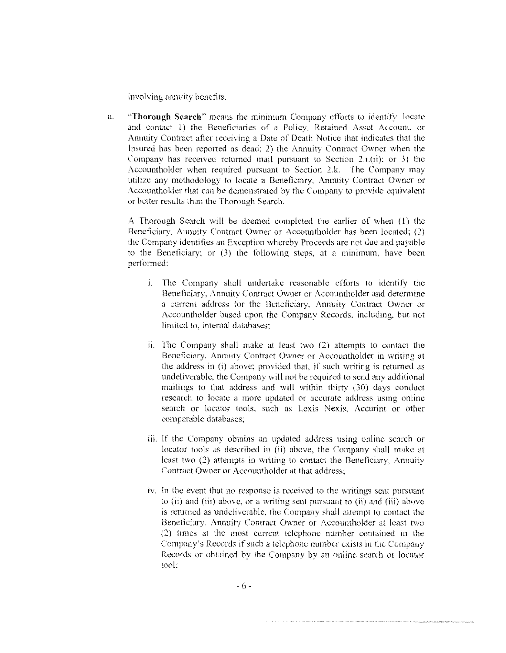**involving annuity bcnetits.** 

LL **"Thorough Search"** means the minimum Company efforts to identify. lueatc and contact I) the Beneficiaries of a Policy. Retained Asset Account. or Annuity Contract after receiving a Date of Death Notice that indicates that the Insured has been reported as dead: 2) the Annuity Contract Owner when the Company has received returned mail pursuant to Section 2.i.(ii): or 3) the Accoumholder when required pursuant to Section 2.k. The Company may utilize any methodology to locate a Beneficiary. Annuity Contract Owner or Accountholder that can be demonstrated by the Company to provide equivalent or better results than the Thorough Search.

A Thorough Search will he deemed completed the earlier of when (I) the Beneficiary, Annuity Contract Owner or Accountholder has been located; (2) the Company identifies an Exception whereby Proceeds are not due and payable to the Beneficiary; or (3) the following steps, at a minimum, have been performed:

- i. The Company shall undertake reasonable efforts to identify the Beneficiary, Annuity Contract Owner or Accountholder and determine a current address for the Beneficiary. Annuity Contract Owner or Accountholder based upon the Company Records, including, but not limited to. internal databases:
- ii. The Company shall make at least two  $(2)$  attempts to contact the Beneficiary, Annuity Contract Owner or Accountholder in writing at the address in (i) above; provided that. if such writing is returned as undeliverable. the Company will not be required to send any additional mailings to that address and will within thirty (30) days conduct research to locate a more updated or accurate address using online search or locator tools. such as Lexis Nexis. Accurint or other comparable databases:
- iii. If the Company obtains an updated address using online search or locator tools as described in (ii) above. the Company shall make at least two (2) attempts in writing to contact the Beneficiary, Annuity Contract Owner or Accountholder at that address;
- tv. In the event that no response is received to the writings sent pursuant to (ii) and (iii) above. or a writing sent pursuant to (ii) and (iii) ahovc is returned as undeliverable. the Companv shall attempt to comact the Beneficiary. Annuity Contract Owner or Accountholder at least two (2) times at the most current telephone number contained in the Company's Records if such a telephone number exists in the Company Records or obtained by the Company by an online search or locator tool: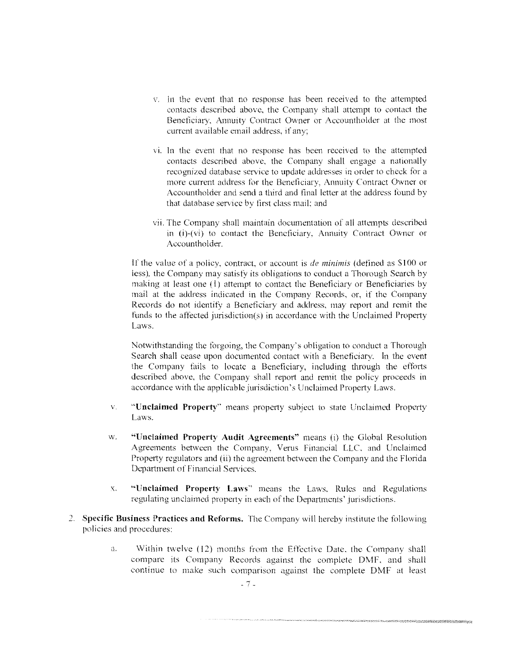- v. In the event that no response has been received to the attempted contacts described above, the Company shall attempt to contact the Beneficiary. Annuity Contract Owner or Accountholder at the most current available email address. if any;
- vi. In the event that no response has been received to the attempted contacts dcscnbed above. the Company shall engage a nationally recognized database service to update addresses in order to check for a more current address for the Beneficiary, Annuity Contract Owner or Accountholder and send a third and final letter at the address found by that database service by first class mail; and
- vii. The Company shall maintain documentation of all attempts described in (i)-(vi) to contact the Beneficiary, Annuity Contract Owner or **Accountholder**

If the value of a policy, contract. or account is *de rninimis* (defined as SIOO or less). the Company may satisfy its obligations to conduct a Thorough Search by making at least one (I) attempt to contact the Beneficiary or Beneficiaries by mail at the address indicated in the Company Records. or, if the Company Records do not identity a Beneficiary and address. may report and remit the funds to the affected jurisdiction(s) in accordance with the Unclaimed Property Laws.

Notwithstanding the forgoing. the Company's obligation to conduct a Thorough Search shall cease upon documented contact with a Beneficiary. In the event the Company fails to locate a Beneficiary, including through the efforts described above, the Company shall report and remit the policy proceeds in accordance with the applicable jurisdiction's Unclaimed Property Laws.

- v. "Unclaimed Property" means property subject to state Unclaimed Property Laws.
- w. "Unclaimed Property Audit Agreements" means (i) the Global Resolution Agreements between the Company. Verus Financial LLC. and Unclaimed Property regulators and (ii) the agreement between the Company and the Florida Department of Financial Services.
- x. "Unclaimed Property Laws" means the Laws. Rules and Regulations regulating unclaimed property in each of the Departments' jurisdictions.
- 2. Specific Business Practices and Reforms. The Company will hereby institute the following policies and procedures:
	- a. Within twelve (12) months from the Effective Date, the Company shall compare its Company Records against the complete DMF. and shall continue to make such comparison against the complete DMF at least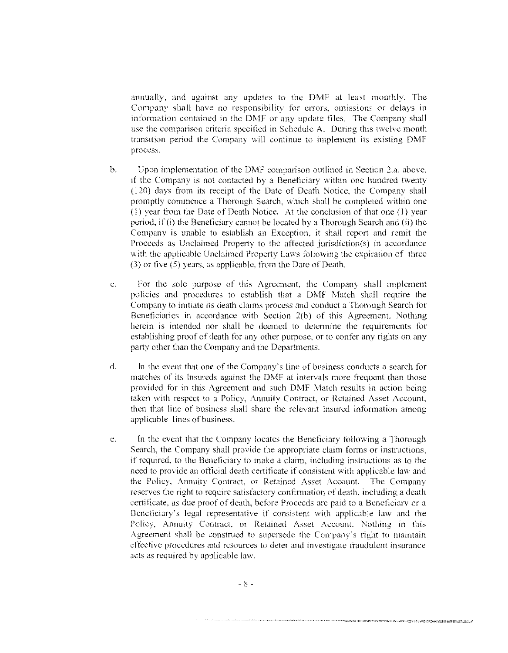annually, and against any updates to the DMF at least monthly. The Company shall have no responsibility for errors, omissions or delays in information contained in the DMF or any update files. The Company shall use the comparison criteria specified in Schedule A. During this twelve month transition period the Company will continue to implement its existing DMF process.

- b. Upon implementation of the DMF comparison outlined in Section 2.a. above, if the Company is not contacted by a Beneficiary within one hundred twenty ( 120) days from its receipt of the Date of Death Notice. the Company shall promptly commence a Thorough Search, which shall be completed within one ( l) year from the Date of Death Notice. At the conclusion of that one ( l) year period, if (i) the Beneficiary cannot be located by a Thorough Search and (ii) the Company is unable to establish an Exception. it shall report and remit the Proceeds as Unclaimed Property to the affected jurisdiction(s) in accordance with the applicable Unclaimed Property Laws following the expiration of three (3) or five (5) years, as applicable, from the Date of Death.
- c. For the sole purpose of this Agreement, the Company shall implement policies and procedures to establish that a DMF Match shall require the Company to initiate its death claims process and conduct a Thorough Search for Beneficiaries in accordance with Section 2(b) of this Agreement. Nothing herein is intended nor shall be deemed to detennine the requirements for establishing proof of death for any other purpose, or to confer any rights on any party other than the Company and the Departments.
- d. In the event that one of the Company's line of business conducts a search for matches of its Insureds against the DMF at intervals more frequent than those provided for in this Agreement and such DMF Match results in action being taken with respect to a Policy, Annuity Contract, or Retained Asset Account, then that line of business shall share the relevant Insured information among applicable lines of business.
- c. In the event that the Company locates the Beneficiary following a Thorough Search. the Company shall provide the appropriate claim forms or instructions. if required, to the Beneticiary to make a claim, including instructions as to the need to provide an official death ecrtiticate if consistent with applicable law and the Policy. Annuity Contract. or Retained Asset Account. The Company reserves the right to require satisfactory confirmation of death. including a death certificate. as due proof of death, before Proceeds are paid to a Beneficiary or a Beneficiary's legal representative if consistent with applicable law and the Policy, Annuity Contract, or Retained Asset Account. Nothing in this Agreement shall be construed to supersede the Company's right to maintain effective procedures and resources to deter and investigate fraudulent insurance acts as required by applicable law.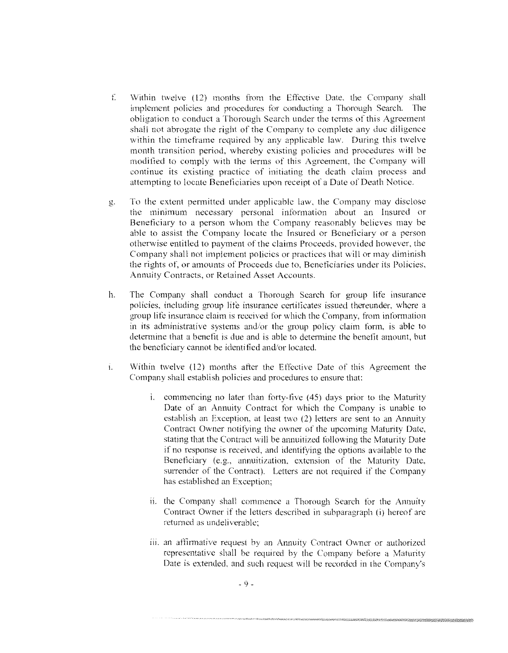- [ Within twelve ( 12) months from the Effective Date. the Company shall implement policies and procednres for conducting a Thorough Search. The obligation to conduct a Thorough Search under the terms of this Agreement shall not abrogate the right of the Company to complete any due diligence within the timeframe required by any applicable law. During this twelve month transition period, whereby existing policies and procedures will be modified to comply with the terms of this Agreement. the Company will continue its existing practice of initiating the death claim process and attempting to locate Beneficiaries upon receipt of a Date of Death Notice.
- g. To the extent permitted under applicable law. the Company may disclose the minimum necessary personal information about an Insured or Beneficiary to a person whom the Company reasonably believes may be able to assist the Company locate the Insured or Beneficiary or a person otherwise entitled to payment of the claims Proceeds, provided however, the Company shall not implement policies or practices that will or may diminish the rights of. or amounts of Proceeds due to, Beneficiaries under its Policies, Annuity Contracts. or Retained Asset Accounts.
- h. The Company shall conduct a Thorough Search for group life insurance policies, including group life insurance certificates issued thereunder, where a group lite insurance claim is received for which the Company. from information in its administrative systems and/or the group policy claim form, is able to detenninc that a benefit is due and is able to determine the benefit amount, but the beneficiary cannot be identified and/or located.
- 1. Within twelve (12) months after the Effoctivc Date of this Agreement the Company shall establish policies and procedures to ensure that:
	- $1.$  commencing no later than forty-five (45) days prior to the Maturity Date of an Annuity Contract for which the Company is unable to establish an Exception. at least two (2) letters are sent to an Annuity Contract Owner notifying the owner of the upcoming Maturity Date. stating that the Contract will be annuitized following the Maturity Date if no response is received, and identifying the options available to the Beneficiary (e.g., annuitization, extension of the Maturity Date, surrender of the Contract). Letters are not required if the Company has established an Exception;
	- ii. the Company shall commence a Thorough Search for the Annuity Contract Owner if the letters described in subparagraph (i) hereof arc returned as undeliverable:
	- iii. an affirmative request by an Annuity Contract Owner or authorized representative shall be required by the Company before a Maturity Date is cxtemlcd. and such request will be recorded in the Company's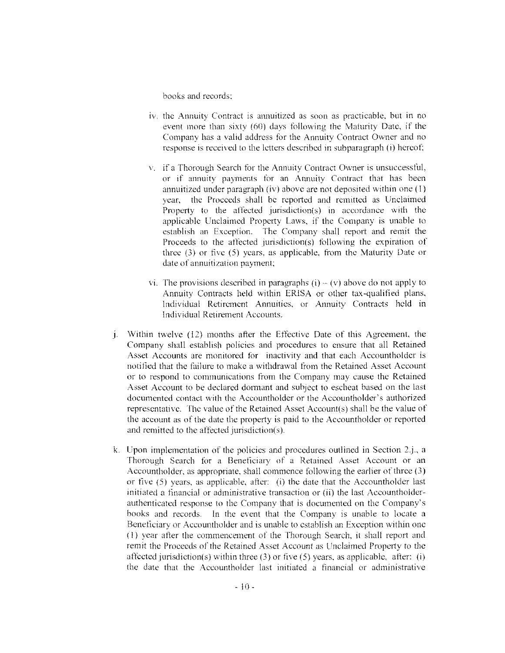books and records:

- 1v. the Annuity Contract is annuitizcd as soon as practicable, but in no event more than sixty (60) days following the Maturity Date, if the Company has a valid address for the Annuity Contract Owner and no response is received to the letters described in subparagraph (i) hereof:
- v. if a Thorough Search for the Annuity Contract Owner is unsuccessful, or if annuity payments for an Annuity Contract that has been annuitized under paragraph (iv) above are not deposited within one  $(1)$ year, the Proceeds shall be reported and remitted as Unclaimed Property to the affected jurisdiction(s) in accordance with the applicable Unclaimed Property Laws, if the Company is unable to establish an Exception. The Company shall report and remit the Proceeds to the affected jurisdiction(s) following the expiration of three  $(3)$  or five  $(5)$  years, as applicable, from the Maturity Date or date of annuitization payment;
- vi. The provisions described in paragraphs (i)  $-$  (v) above do not apply to Annuity Contracts held within ERISA or other tax-qualified plans, Individual Retirement Annuities. or Annuity Contracts held in Individual Retirement Accounts.
- $j$ . Within twelve  $(12)$  months after the Effective Date of this Agreement, the Company shall establish policies and procedures to ensure that all Retained Asset Accounts are monitored for inactivity and that each Accountholder is notified that the failure to make a withdrawal from the Retained Asset Account or to respond to communications from the Company may cause the Retained Asset Account to be declared dormant and subject to escheat based on the last documented contact with the Accountholdcr or the Accountholder's authorized representative. The value of the Retained Asset Account(s) shall be the value of the account as of the date the property is paid to the Accountholdcr or reported and remitted to the affected jurisdiction(s).
- k. Upon implementation of the policies and procedures outlined in Section 2.j., a Thorough Search for a Beneficiary of a Retained Asset Account or an Accountholder, as appropriate, shall commence following the earlier of three (3) or five (5) years, as applicable. after: (i) the date that the Accountholder last initiated a financial or administrative transaction or (ii) the last Accountholderauthenticated response to the Company that is documented on the Company's hooks and records. In the event that the Companv is unable to locate a Beneficiary or Accountholder and is unable to establish an Exception within one ( l) year atlcr the commencement of the Thorough Search. it shall report and remit the Proceeds of the Retained Asset Account as Unclaimed Property to the affected jurisdiction(s) within three  $(3)$  or five  $(5)$  years, as applicable, after: (i) the date that the Accountholder last initiated a financial or administrative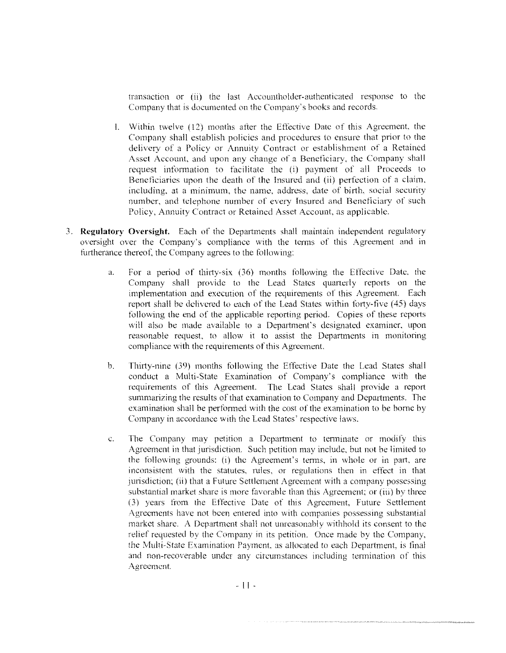transaction or (ii) the last Accountholder-authcnticated response to the Company that is documented on the Company's books and records-

- L Within twelve ( 12) months alter the Effective Date of this Agreement. the Company shall establish policies and procedures to ensure that prior to the delivery of a Policy or Annuity Contract or establishment of a Retained Asset Account. and upon any change of a Beneficiary, the Company shall request information to facilitate the (i) payment of all Proceeds to Beneficiaries upon the death of the Insured and (ii) perfection of a claim. including. at a minimum, the name. address, date of birth. social security number. and telephone number of every Insured and Beneficiary of such Policy, Annuity Contract or Retained Asset Account, as applicable.
- 3. **Regulatory Oversight.** Each of the Departments shall maintain independent regulatory oversight over the Company's compliance with the terms of this Agreement and in furtherance thereof, the Company agrees to the following:
	- a. For a period of thirty-six (36) months following the Etfoctive Date. the Company shall provide to the Lead States quarterly reports on the implementation and execution of the requirements of this Agreement. Each report shall be delivered to each of the Lead States within forty-five (45) days following the end of the applicable reporting period. Copies of these reports will also be made available to a Department's designated examiner, upon reasonable request, to allow it to assist the Departments in monitoring compliance with the requirements of this Agreement.
	- b. Thirty-nine (39) months following the Effective Date the Lead States shall conduct a Multi-State Examination of Company's compliance with the requirements of this Agreement. The Lead States shall provide a report summarizing the results of that examination to Company and Departments. The examination shall he performed with the cost of the examination to be borne hy Company in accordance with the Lead States' respective laws.
	- c. The Company may petition a Department to terminate or modify this Agreement in that jurisdiction. Such petition may include. but not be limited to the following grounds: (i) the Agreement's terms, in whole or in part. are inconsistent with the statutes. rules. or regulations then in effect in that jurisdiction; (ii) that a Future Settlement Agreement with a company possessing substantial market share *is* more favorable than this Agreement; or (iii) by three (3) years from the Effective Date of this Agreement, Euture Settlement Agreements have not been entered into with companies possessing substantial market share. A Department shall not unreasonably withhold its consent to the relief requested by the Company in its petition. Once made by the Company. the Multi-State Examination Payment, as allocated to each Department. is final and non-recoverable under any circumstances including termination of this **/\.gree1nent**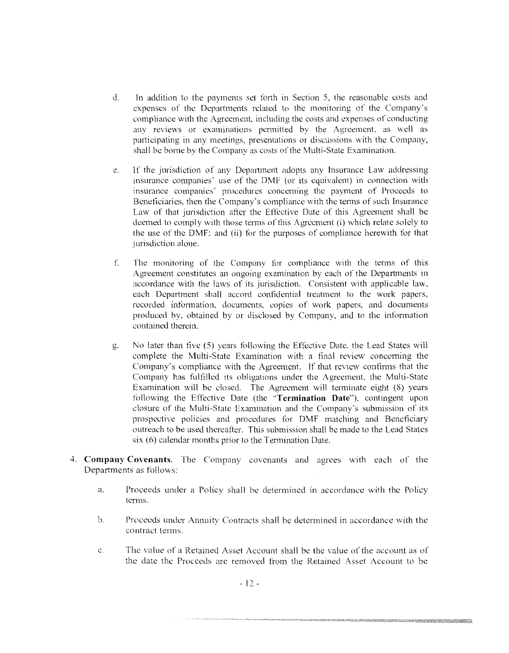- d. In addition to the payments set forth in Section 5, the reasonable costs and expenses of the Departments related to the monitoring of the Company's compliance with the Agreement, including the costs and expenses of conducting any reviews or examinations permitted by the Agreement, as well as participating in any meetings, presentations or discussions with the Company, shall he borne by the Company as costs of the Multi-State Examination,
- e, If the jurisdiction of any Department adopts any Insurance Law addressing insurance companies' use of the DMF (or its equivalent) in connection with insurance companies' procedures concerning the payment of Proceeds to Beneficiaries, then the Company's compliance with the terms of such Insurance Law of that jurisdiction after the Effective Date of this Agreement shall be deemed to comply with those terms of this Agreement  $(i)$  which relate solely to the use of the DMF: and (ii) for the purposes of compliance herewirh for that jurisdiction alone.
- f The monitoring of the Company for compliance with the terms of this Agreement constitutes an ongoing examination by each of the Departments in accordance with the laws of its jurisdiction, Consistent with applicable law, each Department shall accord confidential treatment to the work papers, recorded information. documents, copies of work papers, and documents produced by, obtained by or disclosed by Company, and to the information contained therein.
- g. No later than five (5) years following rhe Effective Date, the Lead States will complete the Multi-State Examination with a tinal review concerning the Company's compliance with the Agreement. If that review confirms that the Company has fulfilled its obligations under the Agreement, the Multi-State Examination will be closed. The Agreement will terminate eight (8) years following the Effective Date (the "Termination Date"), contingent upon closure of the Multi-State Examination and the Company's submission of its prospective policies and procedures for DMF matching and Beneficiary outreach to be used thereafter. This submission shall be made to the Lead States six (6) calendar months prior to the Termination Date.
- 4, Company Covenants, The Company covenants and agrees with each of the Departments as follows:
	- a. Proceeds under a Policy shall be determined in accordance with the Policy terms.
	- h. Proceeds under Annuity Contracts shall be determined in accordance with the contract terms,
	- c. The value of a Retained Asset Account shall he the value of the account as of the date the Proceeds are removed from the Retained Asset Account to be

TA MARINA SERANG PADA ANG KABUPATEN ANG KABUPATEN ANG KABUPATEN ANG KABUPATEN ANG KABUPATEN ANG KABUPATEN ANG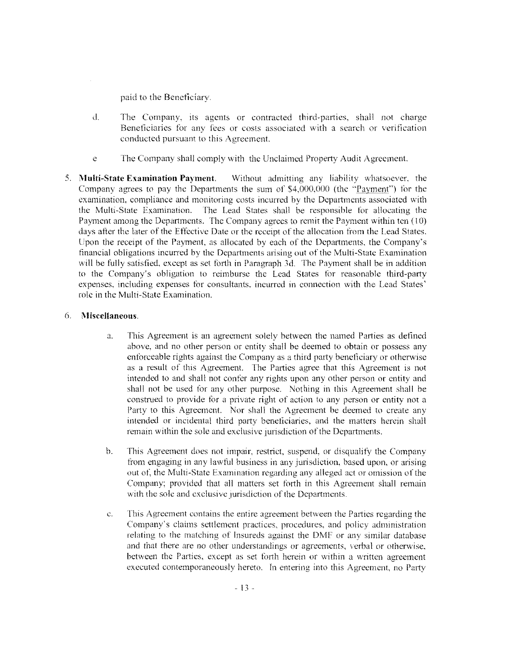paid to the Bencficiarv.

- d. The Company. its agents or contracted third-parties. shall not charge Beneficiaries for any fees or costs associated with a search or verification conducted pursuant to this Agreement.
- e The Company shall comply with the Unclaimed Property Audit Agreement.
- 5. **Multi-State Examination Payment.** Without admitting any liahility whatsoever. the Company agtees to pay the Departments the sum of \$4,000,000 (the ''Paymenf') for the examination, compliance and monitoring costs incurred by the Departments associated with the Multi-State Examination. The Lead States shall be responsible for allocating the The Lead States shall be responsible for allocating the Payment among the Departments. The Company agrees to remit the Payment within ten (IO) days after the later of the Effective Date or the receipt of the allocation from the Lead States. Upon the receipt of the Payment, as allocated by each of the Depmtments, the Company's financial obligations incurred by the Departments arising out of the Multi-State Examination will be fully satisfied, except as set forth in Paragraph 3d. The Payment shall be in addition to the Company's obligation to reimburse the Lead States for reasonable third-party expenses, including expenses for consultants. incurred in connection with the Lead States' role in the Multi-State Examination.

### 6. **Miscellaneous.**

- a. This Agreement is an agtecment solely between the named Parties as defined above, and no other person or entity shall be deemed to obtain or possess any enforceable rights against the Company as a third party beneficiary or otherwise as a result of this Agreement. The Parties agree that this Agreement is not intended to and shall not confer any rights upon any other person or entity and shall not be used for any other purpose. Nothing in this Agreement shall be construed to provide for a private right of action to any person or entity not a Party to this Agreement. Nor shall the Agreement be deemed to create any intended or incidental third party beneficiaries, and the matters herein shall remain within the sole and exclusive jurisdiction of the Departments.
- b. This Agreement does not impair, restrict, suspend, or disqualify the Company from engaging in any lawful business in any jurisdiction, based upon, or arising out of, the Multi-State Examination regarding any alleged act or omission of the Company; provided that all matters set forth in this Agreement shall remain with the sole and exclusive jurisdiction of the Departments.
- **c.** This Agreement contains the entire agreement between the Parties regarding the Company's claims settlement practices, procedures, and poiicy administration relating to the matching of Insureds against the DMF or any similar database and that there are no other understandings or agreements, verbal or otherwise, between the Parties. except as set forth herein or within a written agreement  $e^x$  **executed** contemporaneously hereto. In entering into this Agreement, no Party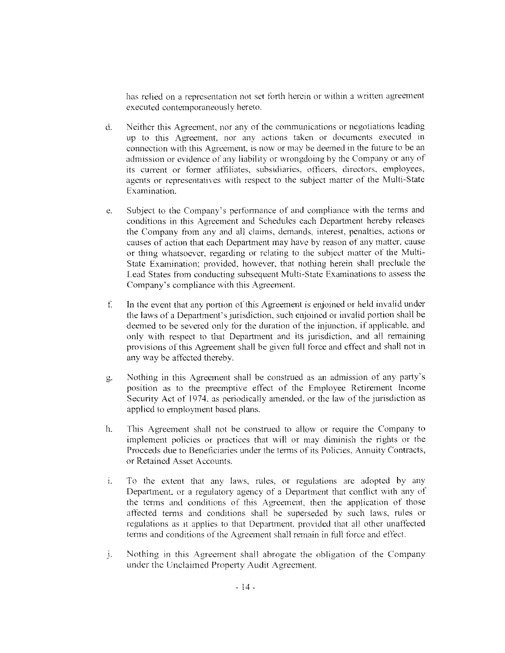has relied on a representation not set forth herein or within a written agreement executed contemporaneously hereto.

- d. Neither this Agreement, nor any of the communications or negotiations leading up to this Agreement, nor any actions taken or documents executed in connection with this Agreement, is now or may be deemed in the future to be an admission or evidence of any liability or wrongdoing hy the Company or any of its current or forrner affiliates. subsidiaries, otticcrs, directors, employees, agents or representatives with respect to the subject matter of the Multi-State Examination.
- e. Subject to the Company's performance of and compliance with the tenns and conditions in this Agreement and Schedules each Department hereby releases the Company from any and all claims, demands, interest, penalties, actions or causes of action that each Department may have by reason of any matter, cause or thing whatsoever. regarding or relating to the subject matter of the Multi-Statc Examination; provided. however, that nothing herein shall preclude the Lead States from conducting subsequent Multi-State Examinations to assess the Company's compliance with this Agreement.
- $\mathbf{f}$ . In the event that any portion of this Agreement is enjoined or held invalid under the laws of a Department's jurisdiction, such enjoined or invalid portion shall be deemed to be severed only for the duration of the injunction. if applicahlc, and only with respect to that Department and its jurisdiction, and all remaining provisions of this Agreement shall be given full force and effect and shall not in any way be affected thereby.
- g. Nothing in this Agreement shall be constnred as an admission of any party's position as to the preemptive effect of the Employee Retirement fncome Security Act of 1974. as periodically amended, or the law of the jurisdiction as applied to employment based plans.
- h. This Agreement shall not be construed to allow or require the Company to implement policies or practices that will or may diminish the rights or the Proceeds due to Beneficiaries under the tenns of its Policies. Annuity Contracts, or Retained Asset Accounts.
- i. To the extent that any laws, rules, or regulations are adopted by any Department. or a regulatory agency of a Department that contlict with any of the terms and conditions of this Agreement, then the application of those affected terms and conditions shall be superseded by such laws, rules or regulations as it applies to that Department, provided that all other unaffected terms and conditions of the Agreement shall remain in full force and effect.
- **j.** Nothing in this Agreement shall abrogate the obligation of the Company under the Unclaimed Property Audit Agreement.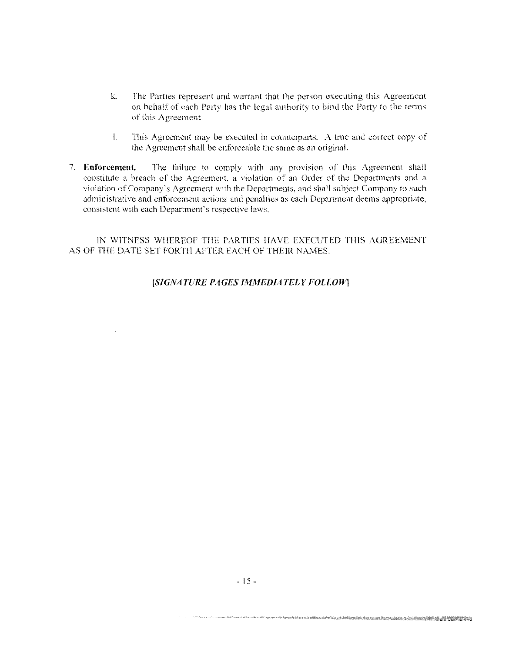- k. The Parties represent and warrant that the person executing this Agreement on behalf of each Party has the legal authority to bind the Party to the terms of this Agreement.
- I. This Agreement may be executed in counterparts. A true and correct copy of the Agreement shall be enforceable the same as an original.
- 7. Enforcement. The failure to comply with any provision of this Agreement shall constitute a breach of the Agreement, a violation of an Order of the Departments and a violation of Company's Agreement with the Departments, and shall subject Company to such administrative and enforcement actions and penalties as each Department deems appropriate, consistent with each Department's respective laws.

IN WITNESS WHEREOF THE PARTIES HAVE EXECUTED THIS AGREEMENT AS OF THE DATE SET FORTH AFTER EACH OF THEIR NAMES.

### [SIGNATURE PAGES IMMEDIATELY FOLLOW]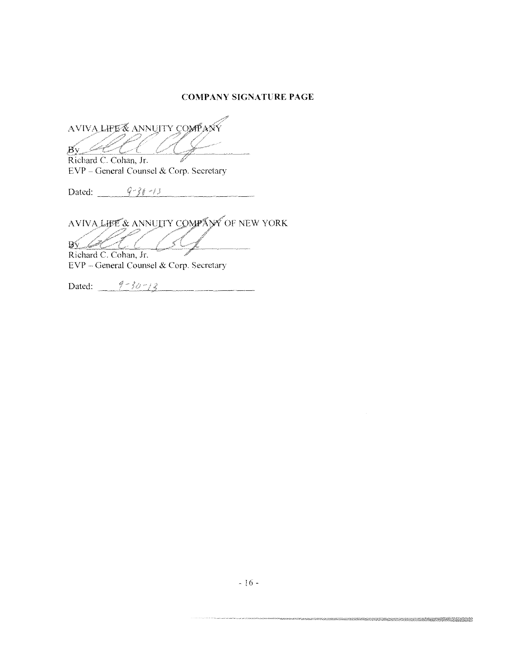### **COMPANY SIGNATURE PAGE**

AVIVA LIFE & ANNUITY COMPANY  $80<$ 

Richard C. Cohan, Jr. EVP - General Counsel & Corp. Secretary

Dated:  $9-36-13$ and the company of the company of the company of the company of the company of the company of the company of the company of the company of the company of the company of the company of the company of the company of the comp

AVIVALIBE & ANNUTTY COMPANY OF NEW YORK

 $\sqrt{2}$ Richard C. Cohan, Jr. EVP - General Counsel & Corp. Secretary

Dated:  $\frac{9 - 30 - 13}{9 - 30 - 13}$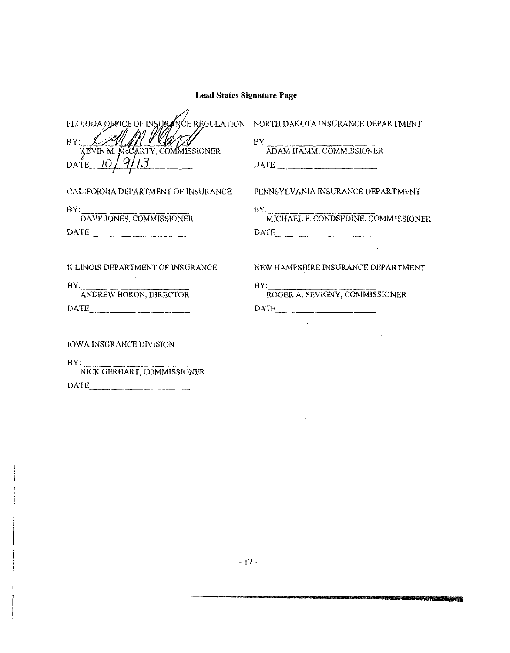| <b>Lead States Signature Page</b>                                                                                                                        |                                                                                              |  |
|----------------------------------------------------------------------------------------------------------------------------------------------------------|----------------------------------------------------------------------------------------------|--|
| FLORIDA OFFICE OF INSURANCE REGULATION NORTH DAKOTA INSURANCE DEPARTMENT<br>BY:<br>KEVIN M. MCCARTY, COMMISSIONER<br>$\frac{10}{9}$ /9/13<br><b>DATE</b> | $\frac{\text{BY:}}{\text{ADAM HAMM}, \text{COMMISSIONER}}$<br>$\texttt{DATE}\_\_\_\_\_\_\_\$ |  |
| CALIFORNIA DEPARTMENT OF INSURANCE                                                                                                                       | PENNSYLVANIA INSURANCE DEPARTMENT                                                            |  |
| $\frac{BY}{DAVE}$ JONES, COMMISSIONER<br>DATE                                                                                                            | BY: MICHAEL F. CONDSEDINE, COMMISSIONER<br>DATE                                              |  |
| <b>ILLINOIS DEPARTMENT OF INSURANCE</b>                                                                                                                  | NEW HAMPSHIRE INSURANCE DEPARTMENT                                                           |  |
| BY:<br>ANDREW BORON, DIRECTOR<br>DATE                                                                                                                    | BY:<br>ROGER A. SEVIGNY, COMMISSIONER<br>DATE                                                |  |
| <b>IOWA INSURANCE DIVISION</b><br>BY:                                                                                                                    |                                                                                              |  |

NICK GERHART, COMMISSIONER DATE \_\_\_\_ \_

 $\sim$ 

<u> Kabupatén Pang Tiga Barat, Propinsi Propinsi </u>

 $\sim$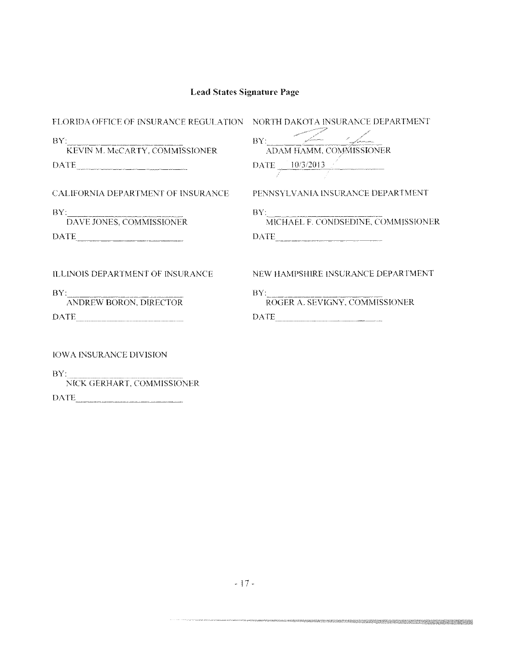| FLORIDA OFFICE OF INSURANCE REGULATION NORTH DAKOTA INSURANCE DEPARTMENT                                                                                                                                                                                                                                                                                                                                                                                                                                                                       |                                                                                                                                                                                                                                                                                                                                                                                                                                            |
|------------------------------------------------------------------------------------------------------------------------------------------------------------------------------------------------------------------------------------------------------------------------------------------------------------------------------------------------------------------------------------------------------------------------------------------------------------------------------------------------------------------------------------------------|--------------------------------------------------------------------------------------------------------------------------------------------------------------------------------------------------------------------------------------------------------------------------------------------------------------------------------------------------------------------------------------------------------------------------------------------|
| BY:<br>KEVIN M. McCARTY, COMMISSIONER<br>DATE                                                                                                                                                                                                                                                                                                                                                                                                                                                                                                  | BY:<br>ADAM HAMM, COMMISSIONER<br>$\text{DATE}$ $\frac{10/3/2013}{\sqrt{10/100}}$                                                                                                                                                                                                                                                                                                                                                          |
| CALIFORNIA DEPARTMENT OF INSURANCE                                                                                                                                                                                                                                                                                                                                                                                                                                                                                                             | PENNSYLVANIA INSURANCE DEPARTMENT                                                                                                                                                                                                                                                                                                                                                                                                          |
| $\operatorname{BY:}\nolimits_{\overline{\text{DAVE JONES, COMMISSIONER}}}$<br>$\begin{tabular}{ c c c } \hline \multicolumn{3}{ c }{\textbf{DATE}} & \multicolumn{3}{ c }{\textbf{DATE}} \\ \hline \multicolumn{3}{ c }{\textbf{DATE}} & \multicolumn{3}{ c }{\textbf{DATE}} \\ \hline \multicolumn{3}{ c }{\textbf{DATE}} & \multicolumn{3}{ c }{\textbf{DATE}} \\ \hline \multicolumn{3}{ c }{\textbf{DATE}} & \multicolumn{3}{ c }{\textbf{DATE}} \\ \hline \multicolumn{3}{ c }{\textbf{DATE}} & \multicolumn{3}{ c }{\textbf{DATE}} \\ \$ | $\frac{\text{BY:}}{\text{MICHAEL F. CONDSEDINE, COMMISSIONER}}$                                                                                                                                                                                                                                                                                                                                                                            |
| ILLINOIS DEPARTMENT OF INSURANCE                                                                                                                                                                                                                                                                                                                                                                                                                                                                                                               | NEW HAMPSHIRE INSURANCE DEPARTMENT                                                                                                                                                                                                                                                                                                                                                                                                         |
| BY:<br>ANDREW BORON, DIRECTOR                                                                                                                                                                                                                                                                                                                                                                                                                                                                                                                  | BY:<br>ROGER A. SEVIGNY, COMMISSIONER                                                                                                                                                                                                                                                                                                                                                                                                      |
| $\begin{tabular}{ c c c } \hline \textbf{DATE} & \textbf{\textcolor{blue}{\bf{}}.} & \textbf{\textcolor{blue}{\bf{}}.} \\ \hline \end{tabular}$                                                                                                                                                                                                                                                                                                                                                                                                | $\begin{minipage}{.4\linewidth} \textbf{DATE\_}\xspace$ \begin{tabular}{l} \textbf{1} & \textbf{1} & \textbf{1} & \textbf{1} & \textbf{1} & \textbf{1} & \textbf{1} & \textbf{1} & \textbf{1} & \textbf{1} & \textbf{1} & \textbf{1} & \textbf{1} & \textbf{1} & \textbf{1} & \textbf{1} & \textbf{1} & \textbf{1} & \textbf{1} & \textbf{1} & \textbf{1} & \textbf{1} & \textbf{1} & \textbf{1} & \textbf{1} & \textbf{1} & \textbf{1} &$ |
| <b>IOWA INSURANCE DIVISION</b>                                                                                                                                                                                                                                                                                                                                                                                                                                                                                                                 |                                                                                                                                                                                                                                                                                                                                                                                                                                            |
| BY:                                                                                                                                                                                                                                                                                                                                                                                                                                                                                                                                            |                                                                                                                                                                                                                                                                                                                                                                                                                                            |

NICK GERHART, COMMISSIONER  $\begin{tabular}{c} DATE \end{tabular}$ 

 $\label{eq:1} \hat{u}_1(\hat{x}_1,\hat{x}_2,\hat{x}_3) = \hat{u}_1(\hat{x}_1,\hat{x}_2,\hat{x}_3) + \hat{u}_2(\hat{x}_2,\hat{x}_3) + \hat{u}_3(\hat{x}_3,\hat{x}_4) + \hat{u}_4(\hat{x}_3,\hat{x}_4) + \hat{u}_5(\hat{x}_4,\hat{x}_5) + \hat{u}_6(\hat{x}_5,\hat{x}_6) + \hat{u}_7(\hat{x}_6,\hat{x}_7,\hat{x}_8) + \hat{u}_8(\hat{x}_6,\hat{x}_7,\hat{x}_8) + \hat{u}_9(\hat{x}_6,\hat{x}_7,\hat{x}_8) + \hat{u}_9(\hat$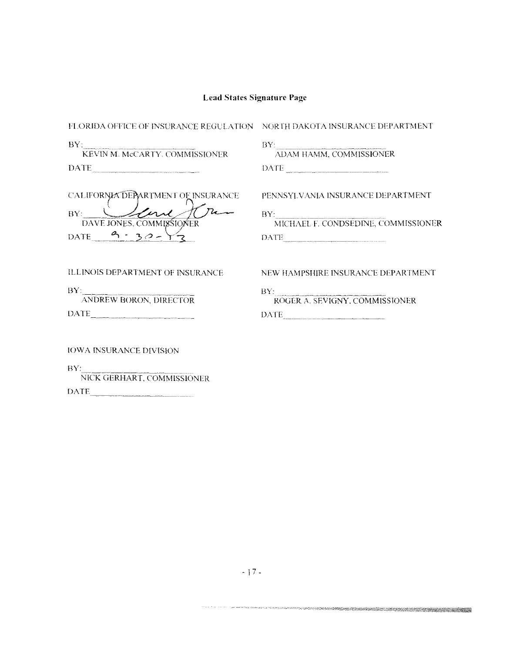| FLORIDA OFFICE OF INSURANCE REGULATION – NORTH DAKOTA INSURANCE DEPARTMENT    |                                                                                                   |
|-------------------------------------------------------------------------------|---------------------------------------------------------------------------------------------------|
| BY<br>KEVIN M. McCARTY, COMMISSIONER                                          | BY:<br>ADAM HAMM, COMMISSIONER                                                                    |
| $\begin{minipage}{.4\linewidth} \textbf{DATE} \end{minipage} \vspace{-0.5mm}$ | $\text{DATE}$                                                                                     |
| CALIFORNIA DEPARTMENT OF INSURANCE                                            | PENNSYLVANIA INSURANCE DEPARTMENT                                                                 |
| BY:<br>DAVE JONES, COMMISSIONER                                               | $\operatorname{BY:}\hspace{-0.2cm} \overline{\hspace{0.2cm}}$ MICHAEL F. CONDSEDINE, COMMISSIONER |
| DATE $-9 - 30 -$                                                              | DATE                                                                                              |
| ILLINOIS DEPARTMENT OF INSURANCE                                              | NEW HAMPSHIRE INSURANCE DEPARTMENT                                                                |
| BY:<br>ANDREW BORON, DIRECTOR                                                 | BY:<br>ROGER A. SEVIGNY, COMMISSIONER                                                             |
|                                                                               | DATE                                                                                              |
| <b>IOWA INSURANCE DIVISION</b>                                                |                                                                                                   |
| RY.<br>NICK GERHART, COMMISSIONER                                             |                                                                                                   |

 $\begin{tabular}{c} DATE \end{tabular}$ 

an sa ama coma a mara an mara an san ama baile a sa bhliain 2011. Tha an t-ainm an t-ainm an t-ainm an t-ainm a

.<br>General est anno m<sub>a</sub>nno particip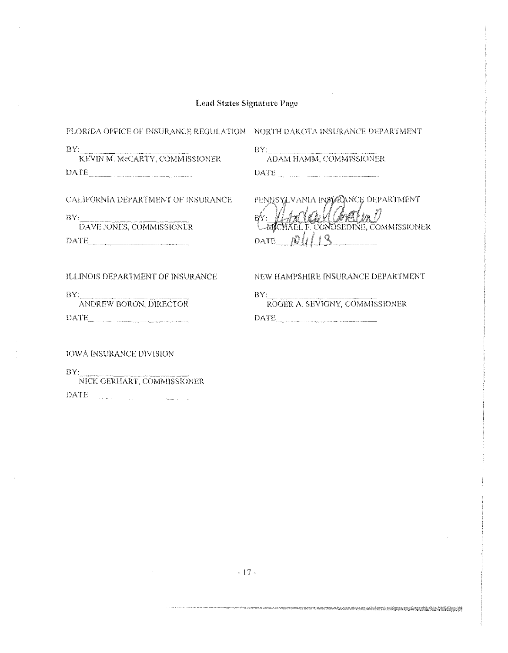$BY:$ 

FLORIDA OFFICE OF INSURANCE REGULATION NORTH DAKOTA INSURANCE DEPARTMENT

 $BY:$ KEVIN M. MCCARTY, COMMISSIONER DATE AND THE RESIDENCE OF A RESIDENCE OF A RESIDENCE OF A RESIDENCE OF A REPORT OF A REPORT OF A REPORT OF A REPORT OF A REPORT OF A REPORT OF A REPORT OF A REPORT OF A REPORT OF A REPORT OF A REPORT OF A REPORT OF A REPOR

CALIFORNIA DEPARTMENT OF INSURANCE

ADAM HAMM, COMMISSIONER DATE

PENNSYLVANIA INSTRANCE DEPARTMENT BY: HANGUMANIM DATE  $10113$ 

ILLINOIS DEPARTMENT OF INSURANCE

DAVE JONES, COMMISSIONER

DATE **DATE** 

 $BY:$ ANDREW BORON, DIRECTOR NEW HAMPSHIRE INSURANCE DEPARTMENT

DATE

BY: ROGER A. SEVIGNY, COMMISSIONER DATE

**IOWA INSURANCE DIVISION** 

 $BY:$ 

 $BY:$ NICK GERHART, COMMISSIONER DATE

TERTA ANG KANADING KALENDARY NA MANGALANG KALENDARY NA MANGANG KANADIAN NA MANGANG KANADING KANADING MANGANG K<br>KANADina mangang mangang mangang mangang mangang mangang mangang mangang mangang mangang mangang mangang manga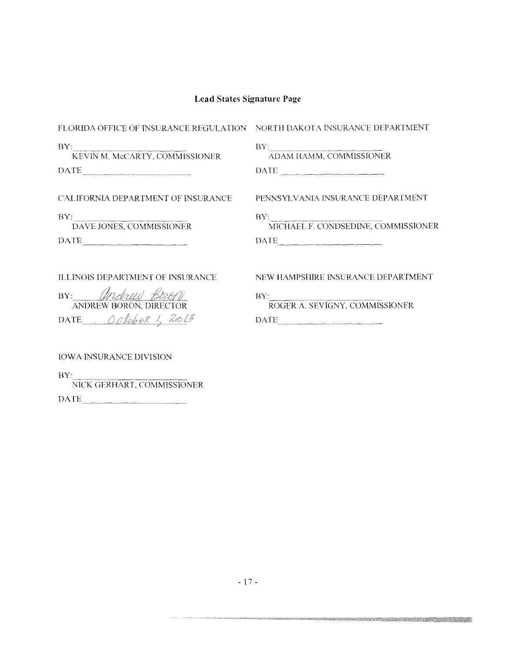| FLORIDA OFFICE OF INSURANCE REGULATION NORTH DAKOTA INSURANCE DEPARTMENT                                                                                                                                                                                                                                                                                                                                                                                                            |                                                                                                                                                                                                                                                                                                                                                                                                                                                                                                                                                                                       |
|-------------------------------------------------------------------------------------------------------------------------------------------------------------------------------------------------------------------------------------------------------------------------------------------------------------------------------------------------------------------------------------------------------------------------------------------------------------------------------------|---------------------------------------------------------------------------------------------------------------------------------------------------------------------------------------------------------------------------------------------------------------------------------------------------------------------------------------------------------------------------------------------------------------------------------------------------------------------------------------------------------------------------------------------------------------------------------------|
| $\mathrm{BY}$ : $\hspace{0.1cm}$<br>KEVIN M. McCARTY, COMMISSIONER<br>$\text{DATE}\textcolor{red}{\underset{--}{\text{max}}}\textcolor{red}{\text{max}}\textcolor{red}{\text{max}}$                                                                                                                                                                                                                                                                                                 | ADAM HAMM, COMMISSIONER<br>$\begin{minipage}{.4\linewidth} \textbf{DATE} \begin{minipage}{.4\linewidth} \label{eq:1} \end{minipage} \begin{minipage}{.4\linewidth} \begin{minipage}{.4\linewidth} \begin{minipage}{.4\linewidth} \begin{minipage}{.4\linewidth} \end{minipage} \end{minipage} \begin{minipage}{.4\linewidth} \begin{minipage}{.4\linewidth} \begin{minipage}{.4\linewidth} \end{minipage} \end{minipage} \begin{minipage}{.4\linewidth} \begin{minipage}{.4\linewidth} \begin{minipage}{.4\linewidth} \end{minipage} \end{minipage} \begin{minipage}{.4\linewidth} \$ |
|                                                                                                                                                                                                                                                                                                                                                                                                                                                                                     |                                                                                                                                                                                                                                                                                                                                                                                                                                                                                                                                                                                       |
| CALIFORNIA DEPARTMENT OF INSURANCE                                                                                                                                                                                                                                                                                                                                                                                                                                                  | PENNSYLVANIA INSURANCE DEPARTMENT                                                                                                                                                                                                                                                                                                                                                                                                                                                                                                                                                     |
| BY: DAVE JONES, COMMISSIONER                                                                                                                                                                                                                                                                                                                                                                                                                                                        | $\operatorname{BY:}\nolimits_{\text{\small\bf MICHAEL F. COMDSEDINE, COMMISSIONER}}$                                                                                                                                                                                                                                                                                                                                                                                                                                                                                                  |
| $\begin{tabular}{ c c } \hline \multicolumn{3}{ c }{\textbf{DATE}}\\ \hline \multicolumn{3}{ c }{\textbf{DATE}}\\ \hline \multicolumn{3}{ c }{\textbf{DATE}}\\ \hline \multicolumn{3}{ c }{\textbf{DATE}}\\ \hline \multicolumn{3}{ c }{\textbf{DATE}}\\ \hline \multicolumn{3}{ c }{\textbf{DATE}}\\ \hline \multicolumn{3}{ c }{\textbf{DATE}}\\ \hline \multicolumn{3}{ c }{\textbf{DATE}}\\ \hline \multicolumn{3}{ c }{\textbf{DATE}}\\ \hline \multicolumn{3}{ c }{\textbf{ب$ | $\begin{minipage}{.4\linewidth} \textbf{DATE} \end{minipage} \vspace{-0.5mm}$                                                                                                                                                                                                                                                                                                                                                                                                                                                                                                         |
| ILLINOIS DEPARTMENT OF INSURANCE                                                                                                                                                                                                                                                                                                                                                                                                                                                    | NEW HAMPSHIRE INSURANCE DEPARTMENT                                                                                                                                                                                                                                                                                                                                                                                                                                                                                                                                                    |
| BY: Andrew Boor<br>ANDREW BORON, DIRECTOR                                                                                                                                                                                                                                                                                                                                                                                                                                           | BY:<br>ROGER A. SEVIGNY, COMMISSIONER                                                                                                                                                                                                                                                                                                                                                                                                                                                                                                                                                 |
| DATE October 1, 2013                                                                                                                                                                                                                                                                                                                                                                                                                                                                | DATE                                                                                                                                                                                                                                                                                                                                                                                                                                                                                                                                                                                  |
|                                                                                                                                                                                                                                                                                                                                                                                                                                                                                     |                                                                                                                                                                                                                                                                                                                                                                                                                                                                                                                                                                                       |

IOWA INSURANCE DIVISION

 $\frac{\text{BY:}}{\text{NICK GERHART, COMMISSIONER}}$  $\begin{tabular}{c} DATE \end{tabular}$ 

om and the complete the complete the complete of the complete of the complete of the complete of the complete t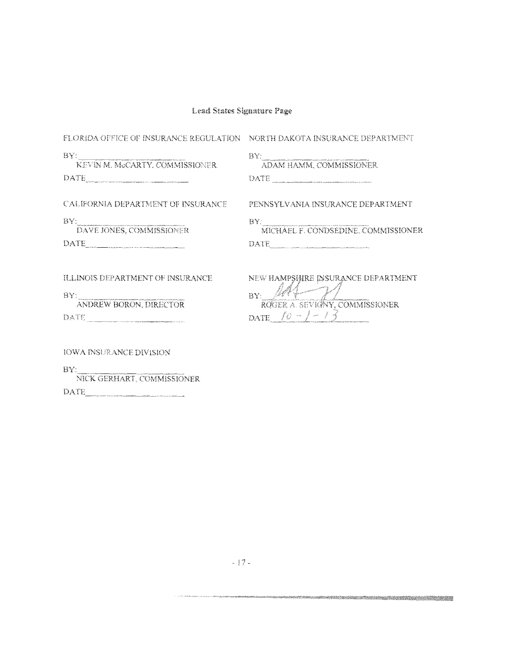| FLORIDA OFFICE OF INSURANCE REGULATION NORTH DAKOTA INSURANCE DEPARTMENT |                                                                                                                             |
|--------------------------------------------------------------------------|-----------------------------------------------------------------------------------------------------------------------------|
| BY:<br>KEVIN M. MCCARTY, COMMISSIONER.                                   | BY:<br>ADAM HAMM, COMMISSIONER                                                                                              |
| CALIFORNIA DEPARTMENT OF INSURANCE                                       | PENNSYLVANIA INSURANCE DEPARTMENT                                                                                           |
| $\frac{\rm BY}{\rm DAVE}$ JONES, COMMISSIONER<br>DATE                    | $\operatorname{BY:}\nolimits_{\overline{\text{MICHAEL F. CONDSEDINE. COMMISSIONER}}}$<br>$\rm {DATE_{_{\rm{eff.}+500\%}}}}$ |
| ILLINOIS DEPARTMENT OF INSURANCE                                         | NEW HAMPSHIRE INSURANCE DEPARTMENT                                                                                          |
| BY:<br>ANDREW BORON, DIRECTOR                                            | BY: M4<br>ROGER A. SEVIGNY, COMMISSIONER                                                                                    |
|                                                                          | DATE $10 - 1 - 13$                                                                                                          |
| <b>IOWA INSURANCE DIVISION</b>                                           |                                                                                                                             |
| BY:                                                                      |                                                                                                                             |

NICK GERHART, COMMISSIONER  $\text{DATE}_{\textcolor{red}{\text{m}}\text{m}}$ 

 $\hat{\sigma}$  , and the commutation of the commutation of  $\hat{\sigma}$ 

a matamata 1999 ya mashi mashi ya 1999 ya matamati wa Tanzania Marejeo ya Tanzania ya Marejeo ya Tanzania ya T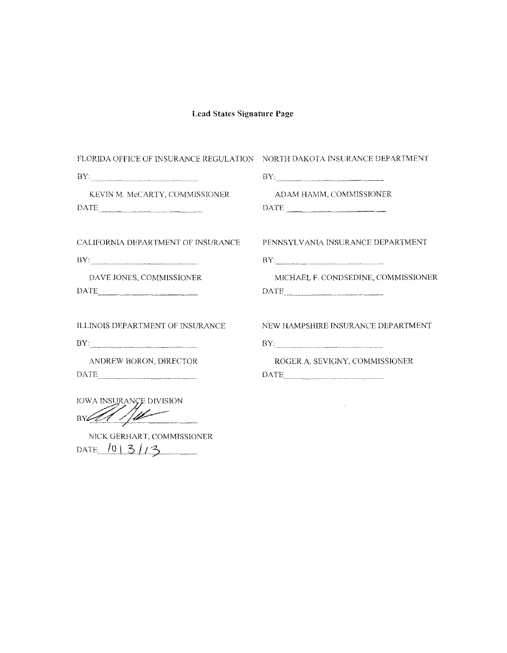| FLORIDA OFFICE OF INSURANCE REGULATION NORTH DAKOTA INSURANCE DEPARTMENT                                  |                                                                                                                                                                                                                                  |
|-----------------------------------------------------------------------------------------------------------|----------------------------------------------------------------------------------------------------------------------------------------------------------------------------------------------------------------------------------|
|                                                                                                           | $\rm BY$ , we consider the construction of the construction of the construction of the construction of the construction of the construction of the construction of the construction of the construction of the construction of t |
| KEVIN M. McCARTY, COMMISSIONER<br>DATE                                                                    | ADAM HAMM, COMMISSIONER<br>$\begin{tabular}{ c c c c } \hline \text{DATE} & \text{{} & \textbf{{} & \textbf{}} & \textbf{{} & \textbf{}} & \textbf{{} & \textbf{ } & \textbf{ } \\ \hline \end{tabular}$                         |
| CALIFORNIA DEPARTMENT OF INSURANCE                                                                        | PENNSYLVANIA INSURANCE DEPARTMENT                                                                                                                                                                                                |
| $BY:$ , and the contract of the contract of the contract of the contract of the contract of $\mathcal{N}$ | BY                                                                                                                                                                                                                               |
| DAVE JONES, COMMISSIONER<br>DATE                                                                          | MICHAEL F. CONDSEDINE, COMMISSIONER                                                                                                                                                                                              |
| ILLINOIS DEPARTMENT OF INSURANCE<br>BY:                                                                   | NEW HAMPSHIRE INSURANCE DEPARTMENT<br>BY:                                                                                                                                                                                        |
| ANDREW BORON, DIRECTOR                                                                                    | ROGER A. SEVIGNY, COMMISSIONER                                                                                                                                                                                                   |
| <b>IOWA INSURANCE DIVISION</b>                                                                            |                                                                                                                                                                                                                                  |
|                                                                                                           |                                                                                                                                                                                                                                  |

NICK GERHART, COMMISSIONER DATE  $101313$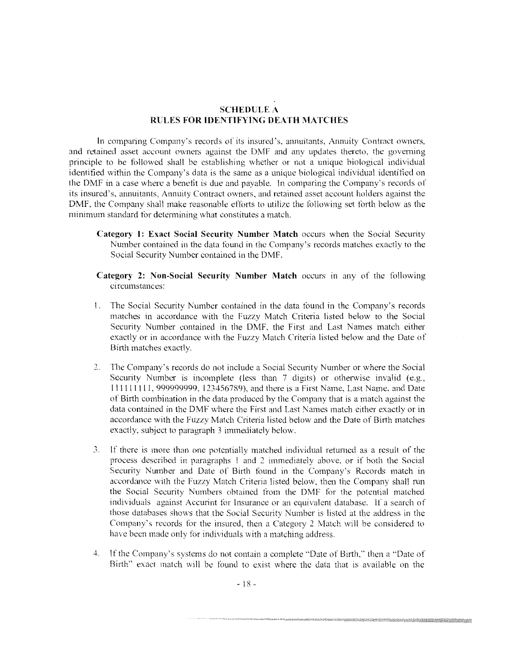### **SCHEDULE A RULES FOR IDENTIFYING DEATH MATCHES**

In comparing Company's records of its insured's, annuitants, Annuity Contract owners, and retained asset account owners against the DMF and any updates thereto. the governing principle to be followed shall be establishing whether or not a unique biological individual identified within the Company's data is the same as a unique biological individual identified on the DMF in a case where a benefit is due and payable. In comparing the Company's records of its insured's, annuitants. Annuity Contract owners. and retained asset account holders against the DMF. the Company shall make reasonable efforts to utilize the following set forth below as the minimum standard for determining what constitutes a match.

- **Category I: Exact Social Security Number Match** occurs when the Social Security Number contained in the data found in the Company's records matches exactly to the Social Security Number contained in the DMF.
- **Category 2: Non-Social Security Number Match** occurs m any of the following ci rcumstances:
- I. The Social Security Number contained in the data found in the Company's records matches in accordance with the Fuzzy Match Criteria listed below to the Social Security Number contained in the DMF, the First and Last Names match either exactly or in accordance with the Fuzzy Match Criteria listed below and the Date of Birth matches exactly.
- The Company's records do not include a Social Security Number or where the Social Security Number is incomplete (less than 7 digits) or otherwise invalid (e.g., l 111 l l ! l I, 999999999. 123456789), and there is a First Name, Last Name. and Date of Birth combination in the data produced by the Company that is a match against the data contained in the DMF where the First and Last Names match either exactly or in accordance with the Fuzzy Match Criteria listed below and the Date of Birth matches exactly, subject to paragraph 3 immediately below.
- *3.* If there is more than one potentially matched individual returned as a result of the process described in paragraphs l and 2 immediately above. or if both the Social Security Number and Date of Birth found in the Company's Records match in accordance with the Fuzzy Match Criteria listed below, then the Company shall run the Social Security Numbers obtained from the DMF for the potential matched individuals against Accurint for Insurance or an equivalent database. If a search of those databases shows that the Social Security Number is listed at the address in the Company's records for the insured, then a Category 2 Match will be considered to have been made only for individuals with a matching address.
- 4. If the Company's systems do not contain a complete "Date of Birth." then a "Date of Birth" exact match will be found to exist where the data that is available on the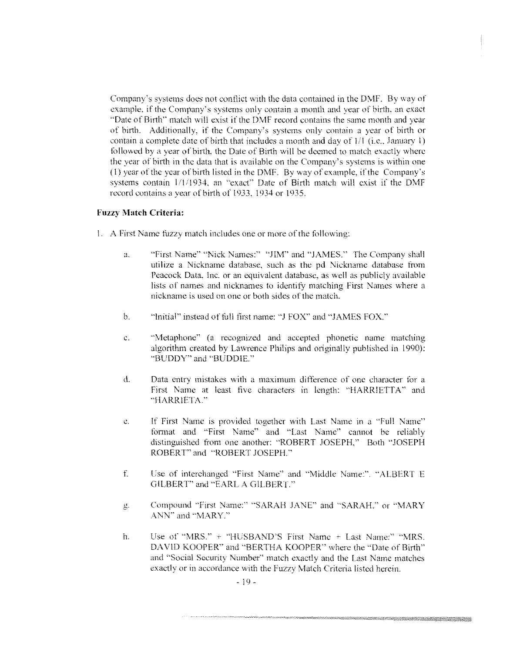Company's systems does not conflict with the data contained in the DMF. By way of example. if the Company's systems only contain a month and year of birth. an exact •·Date of Birth" match will exist if the DMF record contains the same month and year of birth. Additionally, if the Company's systems only contain a year of hirth or contain a complete date of birth that includes a month and day of  $1/1$  (i.e., January 1) followed by a year of birth, the Date of Birth will be deemed to match exactly where the year of birth in the data that is available on the Company's systems is within one  $(1)$  year of the year of birth listed in the DMF. By way of example, if the Company's systems contain 1/1/1934, an "exact" Date of Birth match will exist if the DMF record contains a year of birth of 1933. 1934 or 1935.

#### **Fuzzy Match Criteria:**

- I. A First Name fuzzy match includes one or more of the following:
	- a. "First Name" "Nick Names:" "JIM" and "JAMES." The Company shall utilize a Nickname database. such as the pd Nickname database from Peacock Data. Inc. or an equivalent database. as well as publicly available lists of names and nicknames to identify matching First Names where a nickname is used on one or both sides of the match.
	- b. "Initial" instead of full first name: "J FOX" and "JAMES FOX."
	- c. **•••**Metaphone" (a recognized and accepted phonetic name matching algorithm created by Lawrence Philips and originally published in 1990): "BUDDY" and "BUDDIE.''
	- d. Data entry mistakes with a maximum difference of one character for a First Name at least five characters in length: "HARRIETTA" and "HARRlETA."
	- c. If First Name is provided together with Last Name in a "Full Name" fonnat and "First Name" and "Last Name" cannot be reliably distinguished from one another: "ROBFRT JOSEPH," Both "JOSEPH ROBERT" and "ROBERT JOSEPH.''
	- f Cse of interchanged "First Name" and "Middle Name:". "ALBERT E GILBERT" and "EARL A GILBERT."
	- g. Compound "First Name:" "SARAH JANE'' and "SARAH." or "MARY ANN" and "MARY."
	- h. Use of "MRS." + "HUSBAND'S First Name + Last Name:" "MRS. DAVID KOOPER" and "BERTHA KOOPER" where the "Date of Birth" and "Social Security Number" match exactly and the Last Name matches exactly or in accordance with the Fuzzy Match Criteria listed herein.

e station and the station of the station of the station of the station of the station of the station of the st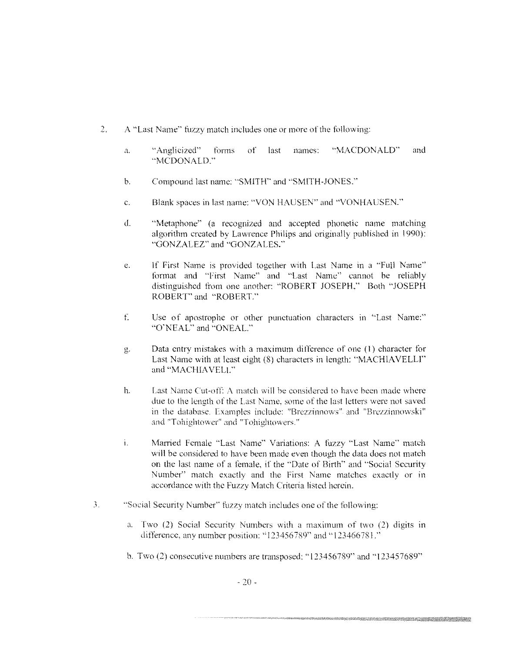- $2.$ A "Last Name" fuzzy match includes one or more of the following:
	- **a.** "Anglicized" forms of last names: "MACDONALD"' and "MCDONALD."
	- b. Compound last name: "SMITH" and "SMITH-JONES."
	- c. Blank spaces in last name: "VON HAUSEN" and "VONHALiSEN."'
	- d. "Metaphone" (a recognized and accepted phonetic name matching algorithm created hy Lawrence Philips and originally published in 1990): "GONZALEZ" and "GONZALES."
	- e. If First Name is provided together with Last Name in a "Full Name" format and "First Name" and "Last Name" cannot be reliably distinguished from one another: "ROBERT JOSEPH." Both "JOSEPH ROBERT' and "ROBERT."
	- f. Lsc of apostrophe or other punctuation characters in "Last Name:" "()'NEAL" and "ONEAL."
	- g. Data entry mistakes with a maximum difforence of one ( 1) character for Last Name with at least eight (8) characters in length: "MACHIAVELLI" and "MACHIAVELL"
	- h. Last Name Cut-off: A match will be considered to have been made where due to the length of the Last Name, some of the last letters were not saved in the database. Examples include: "Brezzinnows" and "Brezzinnowski" and "Tohightower" and "Tohightowers."
	- i. Married Female "Last Name" Variations: A fuzzy "Last Name" match will be considered to have been made even though the data does not match on the last name of a female, if the "Date of Birth" and "Social Security Number" match exactly and the First Name matches exactly or in accordance with the Fuzzy Match Criteria listed herein.
- *3.* ··social Security Number" fuzzy match includes one of the following:
	- a. Two (2) Social Security Numbers with a maximum of two (2) digits in difference, any number position: "123456789" and "123466781."
	- b. Two (2) consecutive numbers are transposed: "123456789" and "123457689"

en selatan dan tahun 1982. Pada tahun 1983. Pada tahun 1983. Ia seorang berasal dari dalam kecamatan dalam kec<br>Pada tahun 1983, Sebagai Pada tahun 1983, Sebagai Pada tahun 1983, Sebagai Pada tahun 1983, Sebagai Pada tahun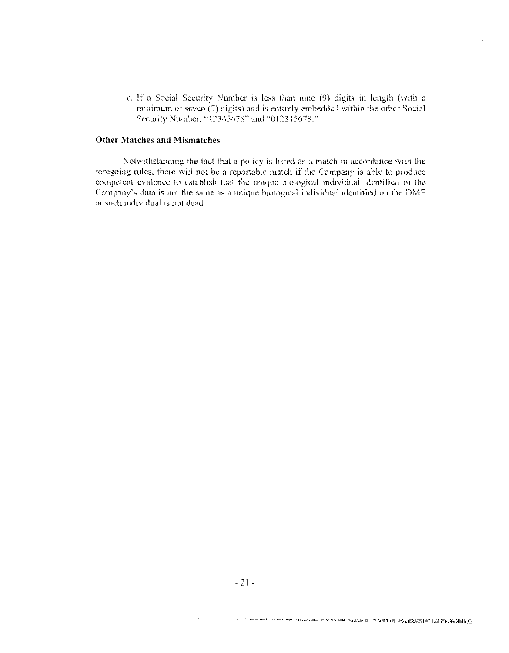c. If a Social Security Number is less than nine \9) digits m length (with a minimum of seven (7) digits) and is entirely embedded within the other Social Security Number: "12345678" and "012345678.'•

### **Other Matches and Mismatches**

Notwithstanding the fact that a policy is listed as a match in accordance with the foregoing rules, there will not be a reportable match if the Company is able to produce competent evidence to establish that the unique biological individual identified in the Company's data is not the same as a unique biological individual identified on the DMF or such individual is not dead.

A KATANG KATANG MALA KATANG PAKAT ANG KATANG PANGANG ANG KATANG PANG